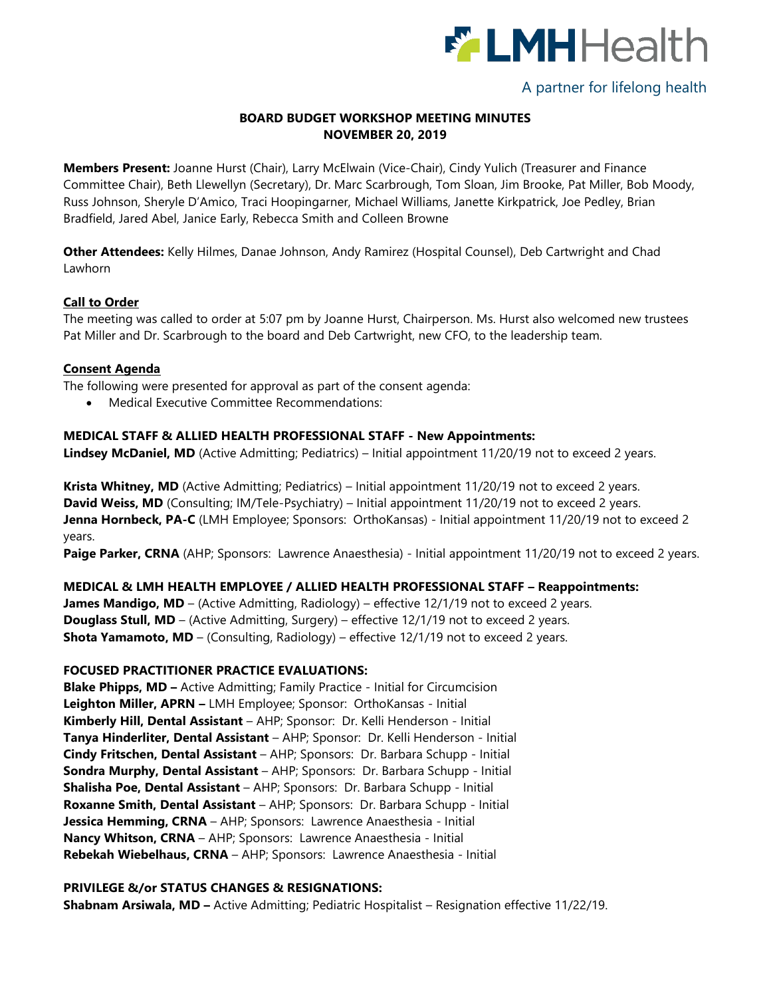

# A partner for lifelong health

## **BOARD BUDGET WORKSHOP MEETING MINUTES NOVEMBER 20, 2019**

**Members Present:** Joanne Hurst (Chair), Larry McElwain (Vice-Chair), Cindy Yulich (Treasurer and Finance Committee Chair), Beth Llewellyn (Secretary), Dr. Marc Scarbrough, Tom Sloan, Jim Brooke, Pat Miller, Bob Moody, Russ Johnson, Sheryle D'Amico, Traci Hoopingarner, Michael Williams, Janette Kirkpatrick, Joe Pedley, Brian Bradfield, Jared Abel, Janice Early, Rebecca Smith and Colleen Browne

**Other Attendees:** Kelly Hilmes, Danae Johnson, Andy Ramirez (Hospital Counsel), Deb Cartwright and Chad Lawhorn

## **Call to Order**

The meeting was called to order at 5:07 pm by Joanne Hurst, Chairperson. Ms. Hurst also welcomed new trustees Pat Miller and Dr. Scarbrough to the board and Deb Cartwright, new CFO, to the leadership team.

#### **Consent Agenda**

The following were presented for approval as part of the consent agenda:

Medical Executive Committee Recommendations:

#### **MEDICAL STAFF & ALLIED HEALTH PROFESSIONAL STAFF - New Appointments:**

**Lindsey McDaniel, MD** (Active Admitting; Pediatrics) – Initial appointment 11/20/19 not to exceed 2 years.

**Krista Whitney, MD** (Active Admitting; Pediatrics) – Initial appointment 11/20/19 not to exceed 2 years. **David Weiss, MD** (Consulting; IM/Tele-Psychiatry) – Initial appointment 11/20/19 not to exceed 2 years. **Jenna Hornbeck, PA-C** (LMH Employee; Sponsors: OrthoKansas) - Initial appointment 11/20/19 not to exceed 2 years.

Paige Parker, CRNA (AHP; Sponsors: Lawrence Anaesthesia) - Initial appointment 11/20/19 not to exceed 2 years.

## **MEDICAL & LMH HEALTH EMPLOYEE / ALLIED HEALTH PROFESSIONAL STAFF – Reappointments:**

**James Mandigo, MD** – (Active Admitting, Radiology) – effective 12/1/19 not to exceed 2 years. **Douglass Stull, MD** – (Active Admitting, Surgery) – effective 12/1/19 not to exceed 2 years. **Shota Yamamoto, MD** – (Consulting, Radiology) – effective 12/1/19 not to exceed 2 years.

## **FOCUSED PRACTITIONER PRACTICE EVALUATIONS:**

**Blake Phipps, MD –** Active Admitting; Family Practice - Initial for Circumcision **Leighton Miller, APRN –** LMH Employee; Sponsor: OrthoKansas - Initial **Kimberly Hill, Dental Assistant** – AHP; Sponsor: Dr. Kelli Henderson - Initial **Tanya Hinderliter, Dental Assistant** – AHP; Sponsor: Dr. Kelli Henderson - Initial **Cindy Fritschen, Dental Assistant** – AHP; Sponsors: Dr. Barbara Schupp - Initial **Sondra Murphy, Dental Assistant** – AHP; Sponsors: Dr. Barbara Schupp - Initial **Shalisha Poe, Dental Assistant** – AHP; Sponsors: Dr. Barbara Schupp - Initial **Roxanne Smith, Dental Assistant** – AHP; Sponsors: Dr. Barbara Schupp - Initial **Jessica Hemming, CRNA** – AHP; Sponsors: Lawrence Anaesthesia - Initial **Nancy Whitson, CRNA** – AHP; Sponsors: Lawrence Anaesthesia - Initial **Rebekah Wiebelhaus, CRNA** – AHP; Sponsors: Lawrence Anaesthesia - Initial

## **PRIVILEGE &/or STATUS CHANGES & RESIGNATIONS:**

**Shabnam Arsiwala, MD –** Active Admitting; Pediatric Hospitalist – Resignation effective 11/22/19.